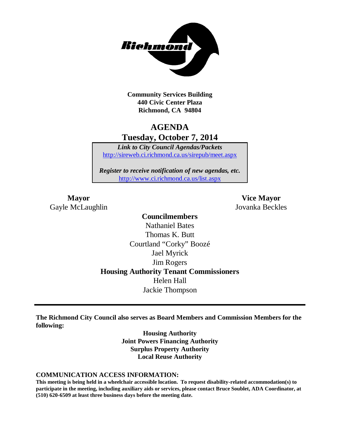

**Community Services Building 440 Civic Center Plaza Richmond, CA 94804**

# **AGENDA Tuesday, October 7, 2014**

*Link to City Council Agendas/Packets* <http://sireweb.ci.richmond.ca.us/sirepub/meet.aspx>

*Register to receive notification of new agendas, etc.* <http://www.ci.richmond.ca.us/list.aspx>

Gayle McLaughlin Jovanka Beckles

**Mayor Vice Mayor**

# **Councilmembers** Nathaniel Bates Thomas K. Butt Courtland "Corky" Boozé Jael Myrick Jim Rogers **Housing Authority Tenant Commissioners** Helen Hall Jackie Thompson

**The Richmond City Council also serves as Board Members and Commission Members for the following:**

> **Housing Authority Joint Powers Financing Authority Surplus Property Authority Local Reuse Authority**

#### **COMMUNICATION ACCESS INFORMATION:**

**This meeting is being held in a wheelchair accessible location. To request disability-related accommodation(s) to participate in the meeting, including auxiliary aids or services, please contact Bruce Soublet, ADA Coordinator, at (510) 620-6509 at least three business days before the meeting date.**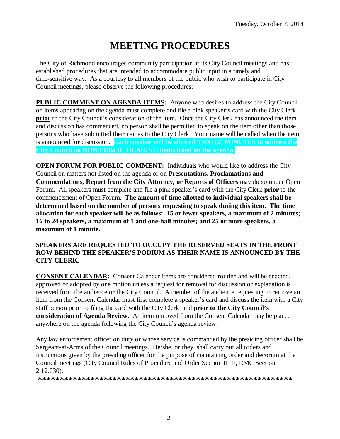# **MEETING PROCEDURES**

The City of Richmond encourages community participation at its City Council meetings and has established procedures that are intended to accommodate public input in a timely and time-sensitive way. As a courtesy to all members of the public who wish to participate in City Council meetings, please observe the following procedures:

**PUBLIC COMMENT ON AGENDA ITEMS:** Anyone who desires to address the City Council on items appearing on the agenda must complete and file a pink speaker's card with the City Clerk **prior** to the City Council's consideration of the item. Once the City Clerk has announced the item and discussion has commenced, no person shall be permitted to speak on the item other than those persons who have submitted their names to the City Clerk. Your name will be called when the item is announced for discussion. **Each speaker will be allowed TWO (2) MINUTES to address the City Council on NON-PUBLIC HEARING items listed on the agenda.**

**OPEN FORUM FOR PUBLIC COMMENT:** Individuals who would like to address the City Council on matters not listed on the agenda or on **Presentations, Proclamations and Commendations, Report from the City Attorney, or Reports of Officers** may do so under Open Forum. All speakers must complete and file a pink speaker's card with the City Clerk **prior** to the commencement of Open Forum. **The amount of time allotted to individual speakers shall be determined based on the number of persons requesting to speak during this item. The time allocation for each speaker will be as follows: 15 or fewer speakers, a maximum of 2 minutes; 16 to 24 speakers, a maximum of 1 and one-half minutes; and 25 or more speakers, a maximum of 1 minute.**

#### **SPEAKERS ARE REQUESTED TO OCCUPY THE RESERVED SEATS IN THE FRONT ROW BEHIND THE SPEAKER'S PODIUM AS THEIR NAME IS ANNOUNCED BY THE CITY CLERK.**

**CONSENT CALENDAR:** Consent Calendar items are considered routine and will be enacted, approved or adopted by one motion unless a request for removal for discussion or explanation is received from the audience or the City Council. A member of the audience requesting to remove an item from the Consent Calendar must first complete a speaker's card and discuss the item with a City staff person prior to filing the card with the City Clerk and **prior to the City Council's consideration of Agenda Review.** An item removed from the Consent Calendar may be placed anywhere on the agenda following the City Council's agenda review.

Any law enforcement officer on duty or whose service is commanded by the presiding officer shall be Sergeant-at-Arms of the Council meetings. He/she, or they, shall carry out all orders and instructions given by the presiding officer for the purpose of maintaining order and decorum at the Council meetings (City Council Rules of Procedure and Order Section III F, RMC Section 2.12.030).

**\*\*\*\*\*\*\*\*\*\*\*\*\*\*\*\*\*\*\*\*\*\*\*\*\*\*\*\*\*\*\*\*\*\*\*\*\*\*\*\*\*\*\*\*\*\*\*\*\*\*\*\*\*\*\*\*\*\***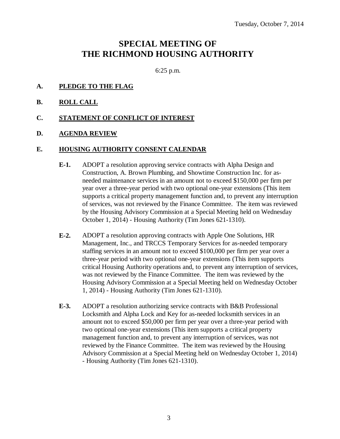# **SPECIAL MEETING OF THE RICHMOND HOUSING AUTHORITY**

6:25 p.m.

- **A. PLEDGE TO THE FLAG**
- **B. ROLL CALL**
- **C. STATEMENT OF CONFLICT OF INTEREST**
- **D. AGENDA REVIEW**

#### **E. HOUSING AUTHORITY CONSENT CALENDAR**

- **E-1.** ADOPT a resolution approving service contracts with Alpha Design and Construction, A. Brown Plumbing, and Showtime Construction Inc. for asneeded maintenance services in an amount not to exceed \$150,000 per firm per year over a three-year period with two optional one-year extensions (This item supports a critical property management function and, to prevent any interruption of services, was not reviewed by the Finance Committee. The item was reviewed by the Housing Advisory Commission at a Special Meeting held on Wednesday October 1, 2014) - Housing Authority (Tim Jones 621-1310).
- **E-2.** ADOPT a resolution approving contracts with Apple One Solutions, HR Management, Inc., and TRCCS Temporary Services for as-needed temporary staffing services in an amount not to exceed \$100,000 per firm per year over a three-year period with two optional one-year extensions (This item supports critical Housing Authority operations and, to prevent any interruption of services, was not reviewed by the Finance Committee. The item was reviewed by the Housing Advisory Commission at a Special Meeting held on Wednesday October 1, 2014) - Housing Authority (Tim Jones 621-1310).
- **E-3.** ADOPT a resolution authorizing service contracts with B&B Professional Locksmith and Alpha Lock and Key for as-needed locksmith services in an amount not to exceed \$50,000 per firm per year over a three-year period with two optional one-year extensions (This item supports a critical property management function and, to prevent any interruption of services, was not reviewed by the Finance Committee. The item was reviewed by the Housing Advisory Commission at a Special Meeting held on Wednesday October 1, 2014) - Housing Authority (Tim Jones 621-1310).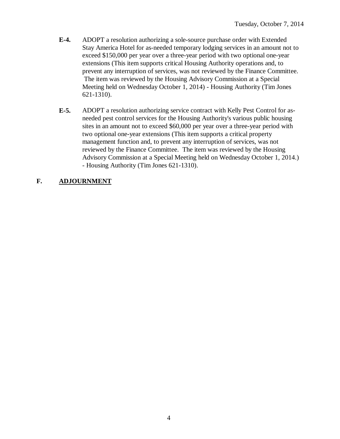- **E-4.** ADOPT a resolution authorizing a sole-source purchase order with Extended Stay America Hotel for as-needed temporary lodging services in an amount not to exceed \$150,000 per year over a three-year period with two optional one-year extensions (This item supports critical Housing Authority operations and, to prevent any interruption of services, was not reviewed by the Finance Committee. The item was reviewed by the Housing Advisory Commission at a Special Meeting held on Wednesday October 1, 2014) - Housing Authority (Tim Jones 621-1310).
- **E-5.** ADOPT a resolution authorizing service contract with Kelly Pest Control for asneeded pest control services for the Housing Authority's various public housing sites in an amount not to exceed \$60,000 per year over a three-year period with two optional one-year extensions (This item supports a critical property management function and, to prevent any interruption of services, was not reviewed by the Finance Committee. The item was reviewed by the Housing Advisory Commission at a Special Meeting held on Wednesday October 1, 2014.) - Housing Authority (Tim Jones 621-1310).

# **F. ADJOURNMENT**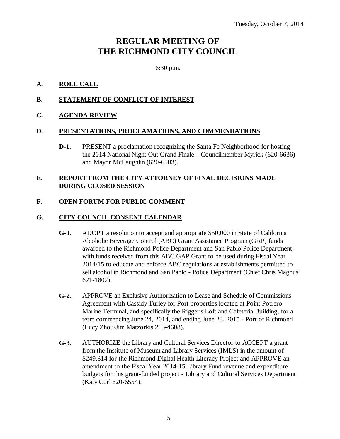# **REGULAR MEETING OF THE RICHMOND CITY COUNCIL**

6:30 p.m.

### **A. ROLL CALL**

### **B. STATEMENT OF CONFLICT OF INTEREST**

### **C. AGENDA REVIEW**

#### **D. PRESENTATIONS, PROCLAMATIONS, AND COMMENDATIONS**

**D-1.** PRESENT a proclamation recognizing the Santa Fe Neighborhood for hosting the 2014 National Night Out Grand Finale – Councilmember Myrick (620-6636) and Mayor McLaughlin (620-6503).

#### **E. REPORT FROM THE CITY ATTORNEY OF FINAL DECISIONS MADE DURING CLOSED SESSION**

### **F. OPEN FORUM FOR PUBLIC COMMENT**

#### **G. CITY COUNCIL CONSENT CALENDAR**

- **G-1.** ADOPT a resolution to accept and appropriate \$50,000 in State of California Alcoholic Beverage Control (ABC) Grant Assistance Program (GAP) funds awarded to the Richmond Police Department and San Pablo Police Department, with funds received from this ABC GAP Grant to be used during Fiscal Year 2014/15 to educate and enforce ABC regulations at establishments permitted to sell alcohol in Richmond and San Pablo - Police Department (Chief Chris Magnus 621-1802).
- **G-2.** APPROVE an Exclusive Authorization to Lease and Schedule of Commissions Agreement with Cassidy Turley for Port properties located at Point Potrero Marine Terminal, and specifically the Rigger's Loft and Cafeteria Building, for a term commencing June 24, 2014, and ending June 23, 2015 - Port of Richmond (Lucy Zhou/Jim Matzorkis 215-4608).
- **G-3.** AUTHORIZE the Library and Cultural Services Director to ACCEPT a grant from the Institute of Museum and Library Services (IMLS) in the amount of \$249,314 for the Richmond Digital Health Literacy Project and APPROVE an amendment to the Fiscal Year 2014-15 Library Fund revenue and expenditure budgets for this grant-funded project - Library and Cultural Services Department (Katy Curl 620-6554).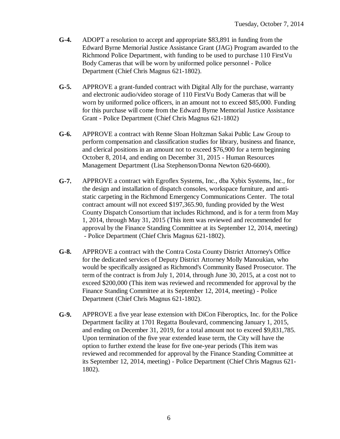- **G-4.** ADOPT a resolution to accept and appropriate \$83,891 in funding from the Edward Byrne Memorial Justice Assistance Grant (JAG) Program awarded to the Richmond Police Department, with funding to be used to purchase 110 FirstVu Body Cameras that will be worn by uniformed police personnel - Police Department (Chief Chris Magnus 621-1802).
- **G-5.** APPROVE a grant-funded contract with Digital Ally for the purchase, warranty and electronic audio/video storage of 110 FirstVu Body Cameras that will be worn by uniformed police officers, in an amount not to exceed \$85,000. Funding for this purchase will come from the Edward Byrne Memorial Justice Assistance Grant - Police Department (Chief Chris Magnus 621-1802)
- **G-6.** APPROVE a contract with Renne Sloan Holtzman Sakai Public Law Group to perform compensation and classification studies for library, business and finance, and clerical positions in an amount not to exceed \$76,900 for a term beginning October 8, 2014, and ending on December 31, 2015 - Human Resources Management Department (Lisa Stephenson/Donna Newton 620-6600).
- **G-7.** APPROVE a contract with Egroflex Systems, Inc., dba Xybix Systems, Inc., for the design and installation of dispatch consoles, workspace furniture, and antistatic carpeting in the Richmond Emergency Communications Center. The total contract amount will not exceed \$197,365.90, funding provided by the West County Dispatch Consortium that includes Richmond, and is for a term from May 1, 2014, through May 31, 2015 (This item was reviewed and recommended for approval by the Finance Standing Committee at its September 12, 2014, meeting) - Police Department (Chief Chris Magnus 621-1802).
- **G-8.** APPROVE a contract with the Contra Costa County District Attorney's Office for the dedicated services of Deputy District Attorney Molly Manoukian, who would be specifically assigned as Richmond's Community Based Prosecutor. The term of the contract is from July 1, 2014, through June 30, 2015, at a cost not to exceed \$200,000 (This item was reviewed and recommended for approval by the Finance Standing Committee at its September 12, 2014, meeting) - Police Department (Chief Chris Magnus 621-1802).
- **G-9.** APPROVE a five year lease extension with DiCon Fiberoptics, Inc. for the Police Department facility at 1701 Regatta Boulevard, commencing January 1, 2015, and ending on December 31, 2019, for a total amount not to exceed \$9,831,785. Upon termination of the five year extended lease term, the City will have the option to further extend the lease for five one-year periods (This item was reviewed and recommended for approval by the Finance Standing Committee at its September 12, 2014, meeting) - Police Department (Chief Chris Magnus 621- 1802).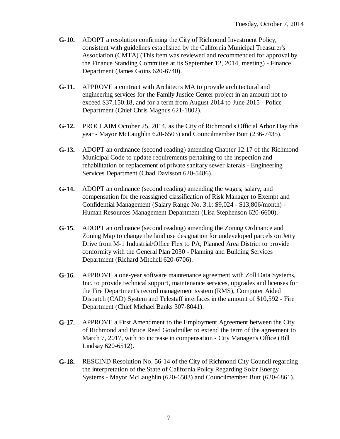- **G-10.** ADOPT a resolution confirming the City of Richmond Investment Policy, consistent with guidelines established by the California Municipal Treasurer's Association (CMTA) (This item was reviewed and recommended for approval by the Finance Standing Committee at its September 12, 2014, meeting) - Finance Department (James Goins 620-6740).
- **G-11.** APPROVE a contract with Architects MA to provide architectural and engineering services for the Family Justice Center project in an amount not to exceed \$37,150.18, and for a term from August 2014 to June 2015 - Police Department (Chief Chris Magnus 621-1802).
- **G-12.** PROCLAIM October 25, 2014, as the City of Richmond's Official Arbor Day this year - Mayor McLaughlin 620-6503) and Councilmember Butt (236-7435).
- **G-13.** ADOPT an ordinance (second reading) amending Chapter 12.17 of the Richmond Municipal Code to update requirements pertaining to the inspection and rehabilitation or replacement of private sanitary sewer laterals - Engineering Services Department (Chad Davisson 620-5486).
- **G-14.** ADOPT an ordinance (second reading) amending the wages, salary, and compensation for the reassigned classification of Risk Manager to Exempt and Confidential Management (Salary Range No. 3.1: \$9,024 - \$13,806/month) - Human Resources Management Department (Lisa Stephenson 620-6600).
- **G-15.** ADOPT an ordinance (second reading) amending the Zoning Ordinance and Zoning Map to change the land use designation for undeveloped parcels on Jetty Drive from M-1 Industrial/Office Flex to PA, Planned Area District to provide conformity with the General Plan 2030 - Planning and Building Services Department (Richard Mitchell 620-6706).
- **G-16.** APPROVE a one-year software maintenance agreement with Zoll Data Systems, Inc. to provide technical support, maintenance services, upgrades and licenses for the Fire Department's record management system (RMS), Computer Aided Dispatch (CAD) System and Telestaff interfaces in the amount of \$10,592 - Fire Department (Chief Michael Banks 307-8041).
- **G-17.** APPROVE a First Amendment to the Employment Agreement between the City of Richmond and Bruce Reed Goodmiller to extend the term of the agreement to March 7, 2017, with no increase in compensation - City Manager's Office (Bill Lindsay 620-6512).
- **G-18.** RESCIND Resolution No. 56-14 of the City of Richmond City Council regarding the interpretation of the State of California Policy Regarding Solar Energy Systems - Mayor McLaughlin (620-6503) and Councilmember Butt (620-6861).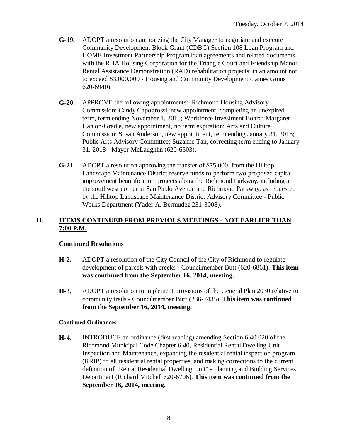- **G-19.** ADOPT a resolution authorizing the City Manager to negotiate and execute Community Development Block Grant (CDBG) Section 108 Loan Program and HOME Investment Partnership Program loan agreements and related documents with the RHA Housing Corporation for the Triangle Court and Friendship Manor Rental Assistance Demonstration (RAD) rehabilitation projects, in an amount not to exceed \$3,000,000 - Housing and Community Development (James Goins 620-6940).
- **G-20.** APPROVE the following appointments: Richmond Housing Advisory Commission: Candy Capogrossi, new appointment, completing an unexpired term, term ending November 1, 2015; Workforce Investment Board: Margaret Hanlon-Gradie, new appointment, no term expiration; Arts and Culture Commission: Susan Anderson, new appointment, term ending January 31, 2018; Public Arts Advisory Committee: Suzanne Tan, correcting term ending to January 31, 2018 - Mayor McLaughlin (620-6503).
- **G-21.** ADOPT a resolution approving the transfer of \$75,000 from the Hilltop Landscape Maintenance District reserve funds to perform two proposed capital improvement beautification projects along the Richmond Parkway, including at the southwest corner at San Pablo Avenue and Richmond Parkway, as requested by the Hilltop Landscape Maintenance District Advisory Committee - Public Works Department (Yader A. Bermudez 231-3008).

### **H. ITEMS CONTINUED FROM PREVIOUS MEETINGS - NOT EARLIER THAN 7:00 P.M.**

### **Continued Resolutions**

- **H-2.** ADOPT a resolution of the City Council of the City of Richmond to regulate development of parcels with creeks - Councilmember Butt (620-6861). **This item was continued from the September 16, 2014, meeting.**
- **H-3.** ADOPT a resolution to implement provisions of the General Plan 2030 relative to community trails - Councilmember Butt (236-7435). **This item was continued from the September 16, 2014, meeting.**

#### **Continued Ordinances**

**H-4.** INTRODUCE an ordinance (first reading) amending Section 6.40.020 of the Richmond Municipal Code Chapter 6.40, Residential Rental Dwelling Unit Inspection and Maintenance, expanding the residential rental inspection program (RRIP) to all residential rental properties, and making corrections to the current definition of "Rental Residential Dwelling Unit" - Planning and Building Services Department (Richard Mitchell 620-6706). **This item was continued from the September 16, 2014, meeting.**